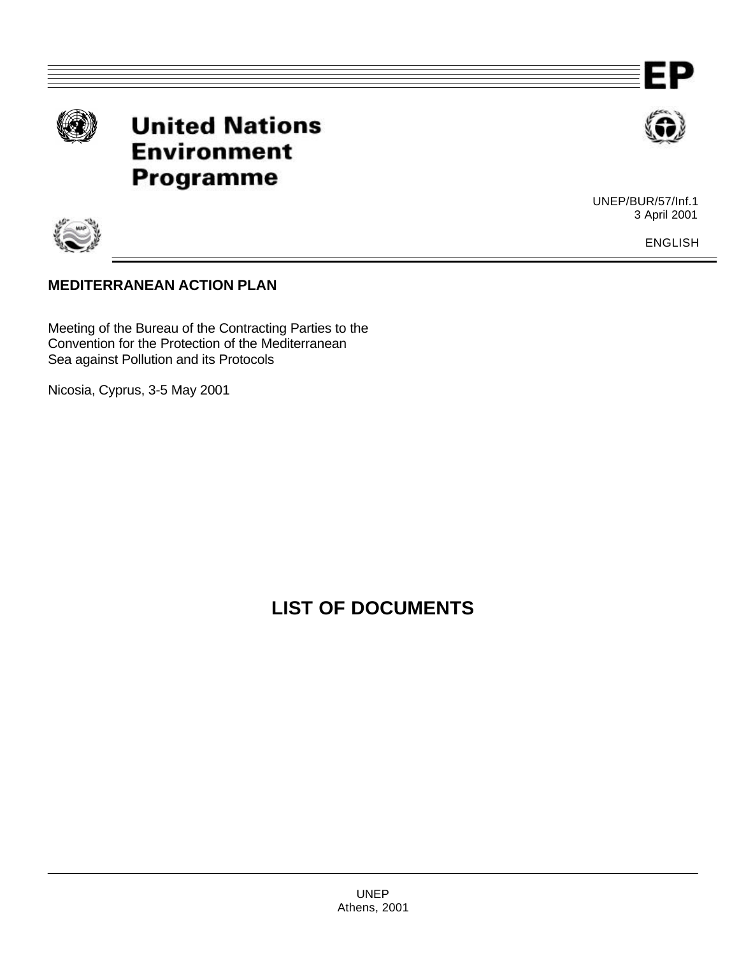

**United Nations Environment** Programme



Р

UNEP/BUR/57/Inf.1 3 April 2001

ENGLISH

## **MEDITERRANEAN ACTION PLAN**

Meeting of the Bureau of the Contracting Parties to the Convention for the Protection of the Mediterranean Sea against Pollution and its Protocols

Nicosia, Cyprus, 3-5 May 2001

## **LIST OF DOCUMENTS**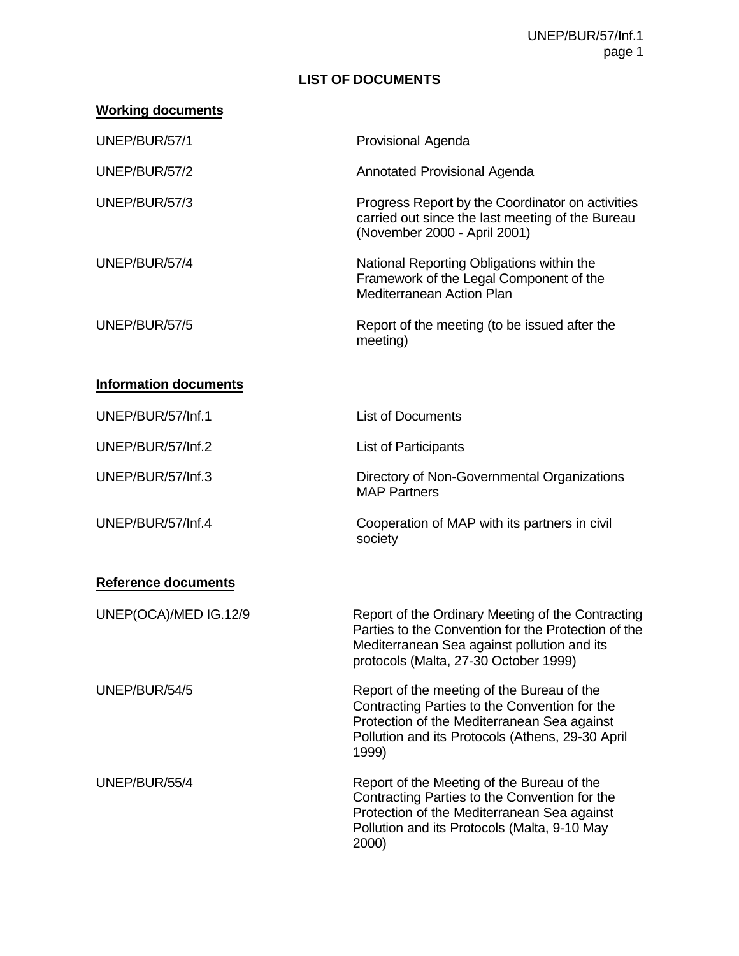UNEP/BUR/57/Inf.1 page 1

## **LIST OF DOCUMENTS**

| UNEP/BUR/57/1                | Provisional Agenda                                                                                                                                                                                      |
|------------------------------|---------------------------------------------------------------------------------------------------------------------------------------------------------------------------------------------------------|
| UNEP/BUR/57/2                | Annotated Provisional Agenda                                                                                                                                                                            |
| UNEP/BUR/57/3                | Progress Report by the Coordinator on activities<br>carried out since the last meeting of the Bureau<br>(November 2000 - April 2001)                                                                    |
| UNEP/BUR/57/4                | National Reporting Obligations within the<br>Framework of the Legal Component of the<br><b>Mediterranean Action Plan</b>                                                                                |
| UNEP/BUR/57/5                | Report of the meeting (to be issued after the<br>meeting)                                                                                                                                               |
| <b>Information documents</b> |                                                                                                                                                                                                         |
| UNEP/BUR/57/Inf.1            | <b>List of Documents</b>                                                                                                                                                                                |
| UNEP/BUR/57/Inf.2            | <b>List of Participants</b>                                                                                                                                                                             |
| UNEP/BUR/57/Inf.3            | Directory of Non-Governmental Organizations<br><b>MAP Partners</b>                                                                                                                                      |
| UNEP/BUR/57/Inf.4            | Cooperation of MAP with its partners in civil<br>society                                                                                                                                                |
| <b>Reference documents</b>   |                                                                                                                                                                                                         |
| UNEP(OCA)/MED IG.12/9        | Report of the Ordinary Meeting of the Contracting<br>Parties to the Convention for the Protection of the<br>Mediterranean Sea against pollution and its<br>protocols (Malta, 27-30 October 1999)        |
| UNEP/BUR/54/5                | Report of the meeting of the Bureau of the<br>Contracting Parties to the Convention for the<br>Protection of the Mediterranean Sea against<br>Pollution and its Protocols (Athens, 29-30 April<br>1999) |
| UNEP/BUR/55/4                | Report of the Meeting of the Bureau of the<br>Contracting Parties to the Convention for the<br>Protection of the Mediterranean Sea against<br>Pollution and its Protocols (Malta, 9-10 May<br>2000)     |